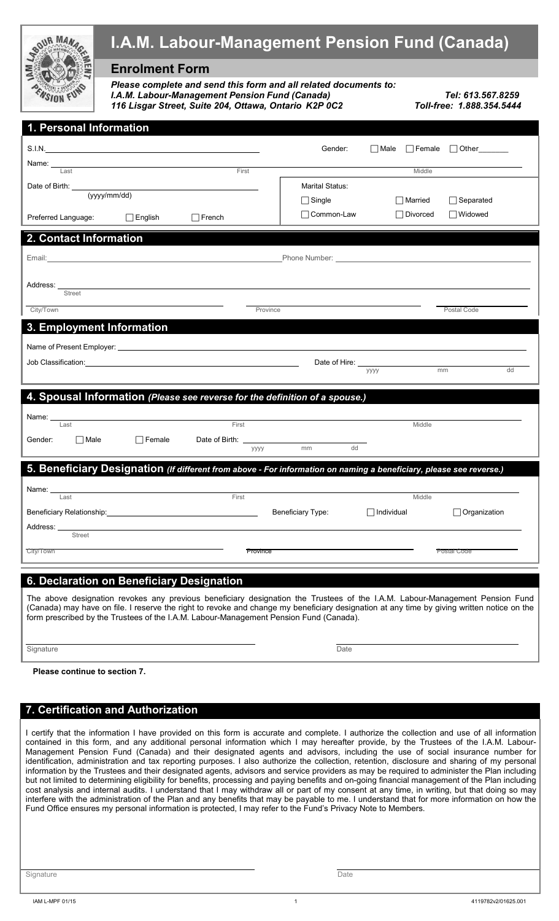|                                                                                                                     | <b>I.A.M. Labour-Management Pension Fund (Canada)</b>                                                                                                                                                                          |                        |                                                                      |
|---------------------------------------------------------------------------------------------------------------------|--------------------------------------------------------------------------------------------------------------------------------------------------------------------------------------------------------------------------------|------------------------|----------------------------------------------------------------------|
|                                                                                                                     | <b>Enrolment Form</b>                                                                                                                                                                                                          |                        |                                                                      |
|                                                                                                                     | Please complete and send this form and all related documents to:<br>I.A.M. Labour-Management Pension Fund (Canada)<br>Tel: 613.567.8259<br>116 Lisgar Street, Suite 204, Ottawa, Ontario K2P 0C2<br>Toll-free: 1.888.354.5444  |                        |                                                                      |
| 1. Personal Information                                                                                             |                                                                                                                                                                                                                                |                        |                                                                      |
|                                                                                                                     | S.I.N. S.I.N.                                                                                                                                                                                                                  | Gender:                | $\Box$ Male<br>$\Box$ Female<br>$\Box$ Other $\_\_\_\_\_\_\_\_\_\_\$ |
| Last                                                                                                                |                                                                                                                                                                                                                                | First                  | Middle                                                               |
| Date of Birth: _____                                                                                                |                                                                                                                                                                                                                                | <b>Marital Status:</b> |                                                                      |
|                                                                                                                     | (yyyy/mm/dd)                                                                                                                                                                                                                   | $\Box$ Single          | $\Box$ Separated<br><b>□ Married</b>                                 |
| Preferred Language:                                                                                                 | $\Box$ English<br>$\Box$ French                                                                                                                                                                                                | □ Common-Law           | □Widowed<br><b>□</b> Divorced                                        |
| 2. Contact Information                                                                                              |                                                                                                                                                                                                                                |                        |                                                                      |
|                                                                                                                     | Email: Email: Email: Email: Email: Email: Email: Email: Email: Email: Email: Email: Email: Email: Email: Email: Email: Email: Email: Email: Email: Email: Email: Email: Email: Email: Email: Email: Email: Email: Email: Email |                        |                                                                      |
|                                                                                                                     |                                                                                                                                                                                                                                |                        |                                                                      |
| Address:<br>Street                                                                                                  |                                                                                                                                                                                                                                |                        |                                                                      |
| City/Town                                                                                                           |                                                                                                                                                                                                                                | Province               | Postal Code                                                          |
| <b>3. Employment Information</b>                                                                                    |                                                                                                                                                                                                                                |                        |                                                                      |
|                                                                                                                     |                                                                                                                                                                                                                                |                        |                                                                      |
|                                                                                                                     |                                                                                                                                                                                                                                |                        | Date of Hire: ______________                                         |
|                                                                                                                     |                                                                                                                                                                                                                                |                        | mm<br>dd<br>уууу                                                     |
|                                                                                                                     | 4. Spousal Information (Please see reverse for the definition of a spouse.)                                                                                                                                                    |                        |                                                                      |
| Name:                                                                                                               |                                                                                                                                                                                                                                |                        |                                                                      |
| Last                                                                                                                | First                                                                                                                                                                                                                          |                        | Middle                                                               |
| Gender:<br>Male                                                                                                     | ∃ Female<br>Date of Birth:                                                                                                                                                                                                     | dd<br>mm<br>уууу       |                                                                      |
| 5. Beneficiary Designation (If different from above - For information on naming a beneficiary, please see reverse.) |                                                                                                                                                                                                                                |                        |                                                                      |
|                                                                                                                     |                                                                                                                                                                                                                                |                        |                                                                      |
| Name:<br>Last                                                                                                       | First                                                                                                                                                                                                                          |                        | Middle                                                               |
| Beneficiary Relationship:                                                                                           |                                                                                                                                                                                                                                | Beneficiary Type:      | Organization<br>$\Box$ Individual                                    |
| Address:<br><b>Street</b>                                                                                           |                                                                                                                                                                                                                                |                        |                                                                      |
| City/Town                                                                                                           |                                                                                                                                                                                                                                | Province               | Postal Code                                                          |
|                                                                                                                     |                                                                                                                                                                                                                                |                        |                                                                      |

#### **6. Declaration on Beneficiary Designation**

The above designation revokes any previous beneficiary designation the Trustees of the I.A.M. Labour-Management Pension Fund (Canada) may have on file. I reserve the right to revoke and change my beneficiary designation at any time by giving written notice on the form prescribed by the Trustees of the I.A.M. Labour-Management Pension Fund (Canada).

Signature Date (2001) and the Signature Date of the Signature Date of the Date of the Date of the Date of the D

**Please continue to section 7.**

#### **7. Certification and Authorization**

I certify that the information I have provided on this form is accurate and complete. I authorize the collection and use of all information contained in this form, and any additional personal information which I may hereafter provide, by the Trustees of the I.A.M. Labour-Management Pension Fund (Canada) and their designated agents and advisors, including the use of social insurance number for identification, administration and tax reporting purposes. I also authorize the collection, retention, disclosure and sharing of my personal information by the Trustees and their designated agents, advisors and service providers as may be required to administer the Plan including but not limited to determining eligibility for benefits, processing and paying benefits and on-going financial management of the Plan including cost analysis and internal audits. I understand that I may withdraw all or part of my consent at any time, in writing, but that doing so may interfere with the administration of the Plan and any benefits that may be payable to me. I understand that for more information on how the Fund Office ensures my personal information is protected, I may refer to the Fund's Privacy Note to Members.

Signature Date **Date of the Contract of Contract Contract of Contract Contract Contract Only and Date Only and D**